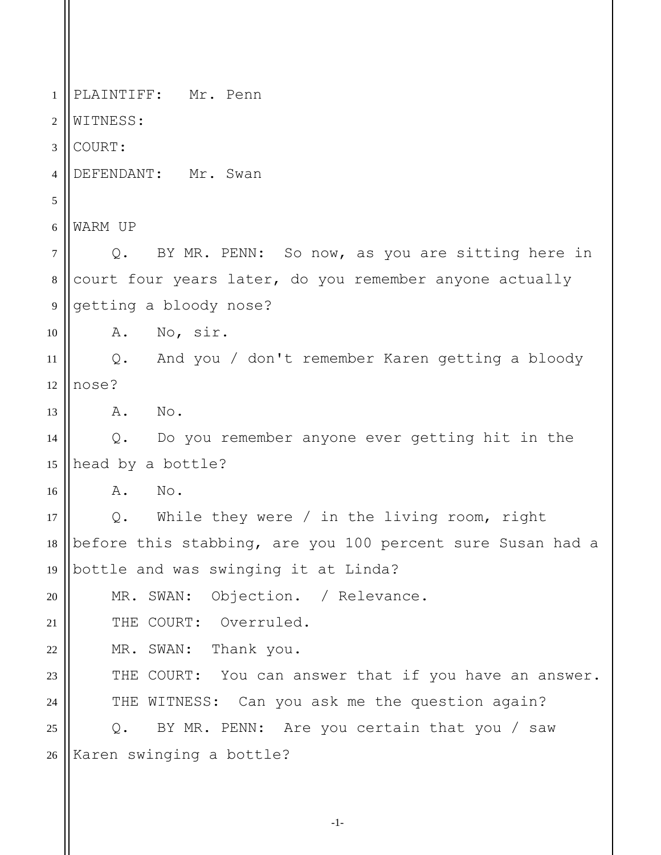1 2 3 4 5 6 7 8 9 10 11 12 13 14 15 16 17 18 19 20 21 22 23 24 25 26 PLAINTIFF: Mr. Penn WITNESS: COURT: DEFENDANT: Mr. Swan WARM UP Q. BY MR. PENN: So now, as you are sitting here in court four years later, do you remember anyone actually getting a bloody nose? A. No, sir. Q. And you / don't remember Karen getting a bloody nose? A. No. Q. Do you remember anyone ever getting hit in the head by a bottle? A. No. Q. While they were / in the living room, right before this stabbing, are you 100 percent sure Susan had a bottle and was swinging it at Linda? MR. SWAN: Objection. / Relevance. THE COURT: Overruled. MR. SWAN: Thank you. THE COURT: You can answer that if you have an answer. THE WITNESS: Can you ask me the question again? Q. BY MR. PENN: Are you certain that you / saw Karen swinging a bottle?

-1-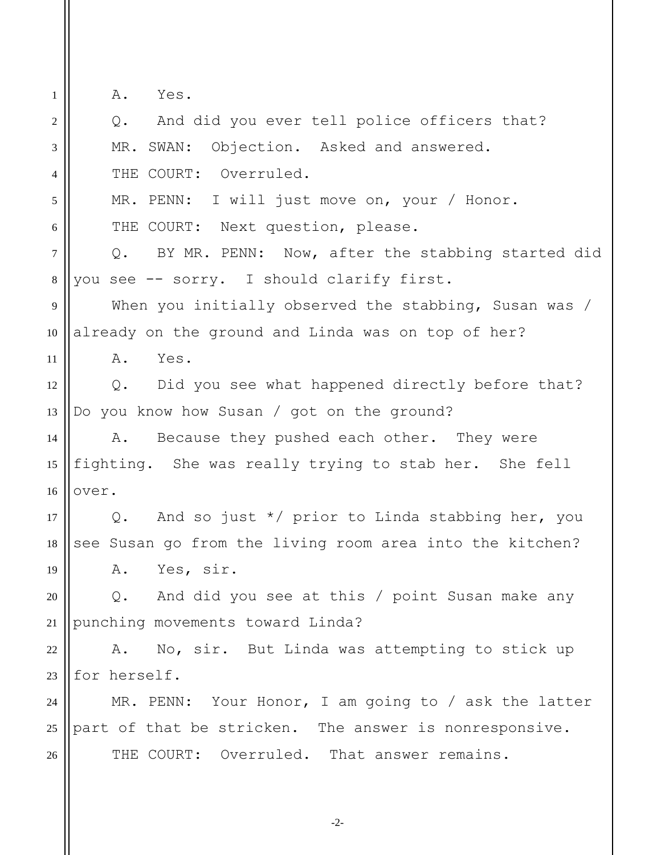1

A. Yes.

2 3 4 5 6 7 8 9 10 11 12 13 14 15 16 17 18 19 20 21 22 23 24 25 26 Q. And did you ever tell police officers that? MR. SWAN: Objection. Asked and answered. THE COURT: Overruled. MR. PENN: I will just move on, your / Honor. THE COURT: Next question, please. Q. BY MR. PENN: Now, after the stabbing started did you see -- sorry. I should clarify first. When you initially observed the stabbing, Susan was / already on the ground and Linda was on top of her? A. Yes. Q. Did you see what happened directly before that? Do you know how Susan / got on the ground? A. Because they pushed each other. They were fighting. She was really trying to stab her. She fell over. Q. And so just \*/ prior to Linda stabbing her, you see Susan go from the living room area into the kitchen? A. Yes, sir. Q. And did you see at this / point Susan make any punching movements toward Linda? A. No, sir. But Linda was attempting to stick up for herself. MR. PENN: Your Honor, I am going to / ask the latter part of that be stricken. The answer is nonresponsive. THE COURT: Overruled. That answer remains.

-2-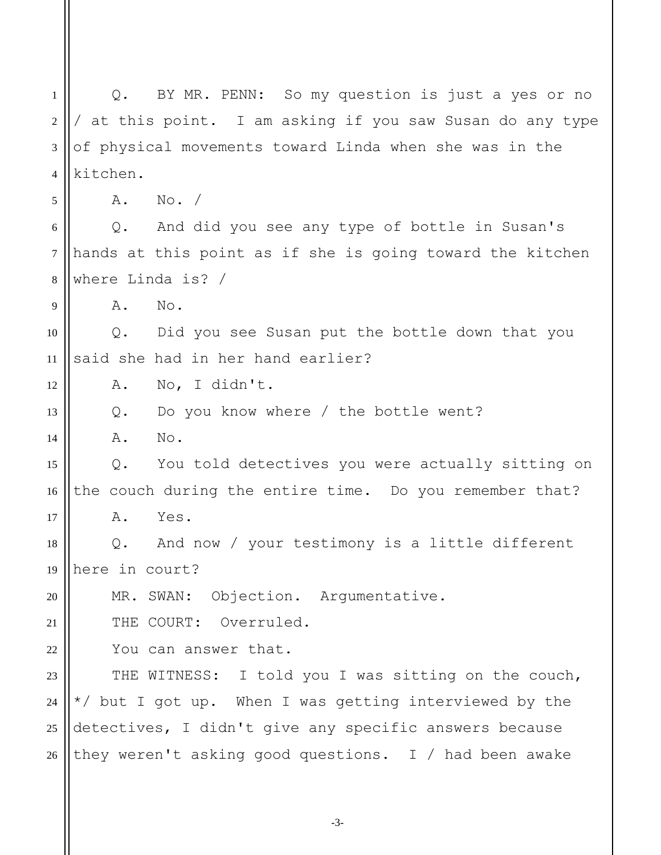1 2 3 4 5 6 7 8 9 10 11 12 13 14 15 16 17 18 19 20 21 22 23 24 25 26 Q. BY MR. PENN: So my question is just a yes or no / at this point. I am asking if you saw Susan do any type of physical movements toward Linda when she was in the kitchen. A. No. / Q. And did you see any type of bottle in Susan's hands at this point as if she is going toward the kitchen where Linda is? / A. No. Q. Did you see Susan put the bottle down that you said she had in her hand earlier? A. No, I didn't. Q. Do you know where / the bottle went? A. No. Q. You told detectives you were actually sitting on the couch during the entire time. Do you remember that? A. Yes. Q. And now / your testimony is a little different here in court? MR. SWAN: Objection. Argumentative. THE COURT: Overruled. You can answer that. THE WITNESS: I told you I was sitting on the couch, \*/ but I got up. When I was getting interviewed by the detectives, I didn't give any specific answers because they weren't asking good questions. I / had been awake

-3-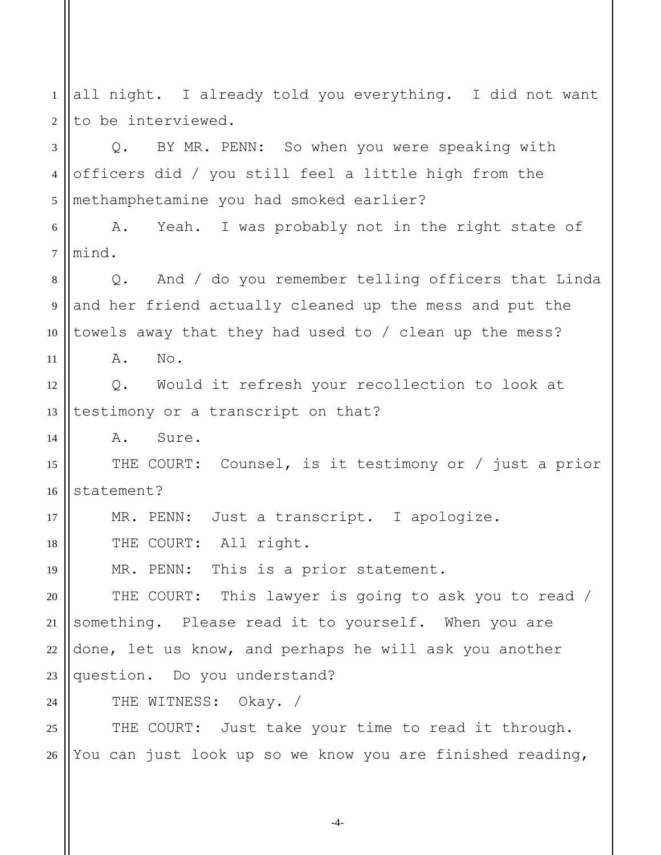1 2 3 4 5 6 7 8 9 10 11 12 13 14 15 16 17 18 19 20 21 22 23  $24$ 25 26 all night. I already told you everything. I did not want to be interviewed. Q. BY MR. PENN: So when you were speaking with officers did / you still feel a little high from the methamphetamine you had smoked earlier? A. Yeah. I was probably not in the right state of mind. Q. And / do you remember telling officers that Linda and her friend actually cleaned up the mess and put the towels away that they had used to / clean up the mess? A. No. Q. Would it refresh your recollection to look at testimony or a transcript on that? A. Sure. THE COURT: Counsel, is it testimony or / just a prior statement? MR. PENN: Just a transcript. I apologize. THE COURT: All right. MR. PENN: This is a prior statement. THE COURT: This lawyer is going to ask you to read / something. Please read it to yourself. When you are done, let us know, and perhaps he will ask you another question. Do you understand? THE WITNESS: Okay. / THE COURT: Just take your time to read it through. You can just look up so we know you are finished reading,

-4-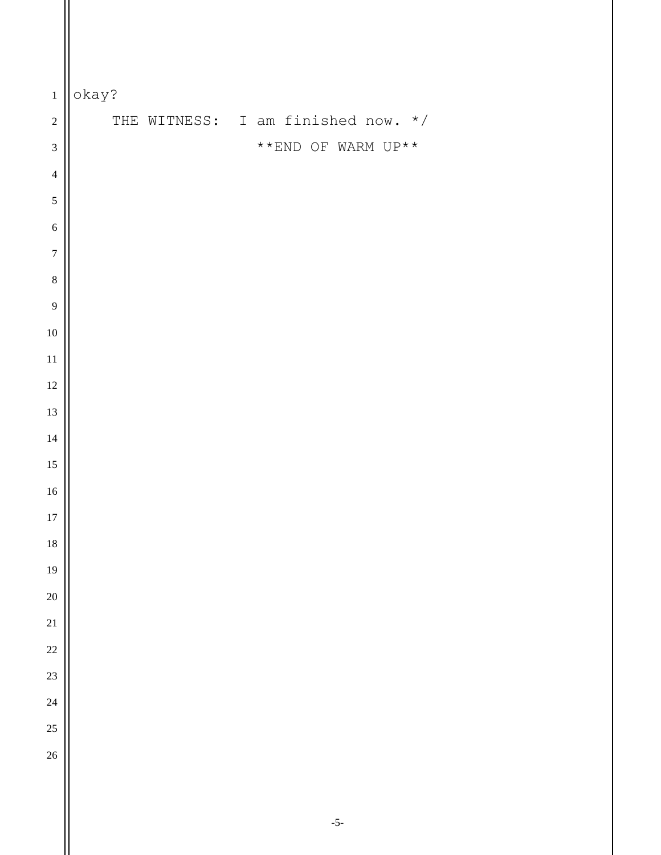| $\,1\,$          | okay?                                              |
|------------------|----------------------------------------------------|
| $\overline{c}$   | THE WITNESS: I am finished now. */                 |
| $\mathfrak{Z}$   | $^{\star\;\star}$ END OF WARM UP $^{\star\;\star}$ |
| $\overline{4}$   |                                                    |
| $\sqrt{5}$       |                                                    |
| $\boldsymbol{6}$ |                                                    |
| $\boldsymbol{7}$ |                                                    |
| $\,8\,$          |                                                    |
| 9                |                                                    |
| $10\,$           |                                                    |
| $11\,$           |                                                    |
| $12\,$           |                                                    |
| $13\,$           |                                                    |
| 14               |                                                    |
| 15               |                                                    |
| $16\,$           |                                                    |
| 17               |                                                    |
| 18               |                                                    |
| 19               |                                                    |
| $\overline{20}$  |                                                    |
| 21               |                                                    |
| 22               |                                                    |
| 23               |                                                    |
| 24               |                                                    |
| $25\,$           |                                                    |
| 26               |                                                    |
|                  |                                                    |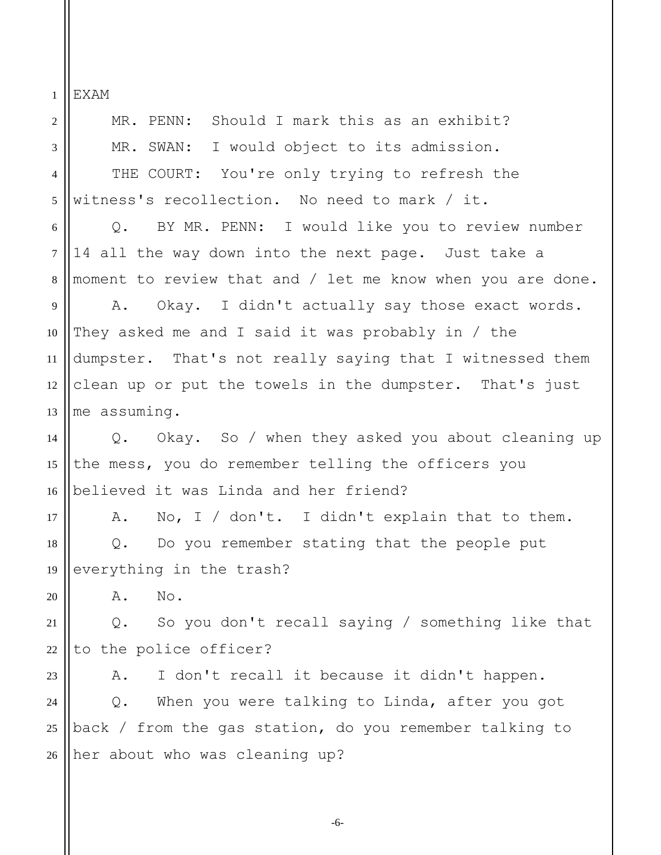EXAM

1

2 3 4 5 6 7 8 9 10 11 12 13 14 15 16 17 18 19 20 21 22 23 24 25 26 MR. PENN: Should I mark this as an exhibit? MR. SWAN: I would object to its admission. THE COURT: You're only trying to refresh the witness's recollection. No need to mark / it. Q. BY MR. PENN: I would like you to review number 14 all the way down into the next page. Just take a moment to review that and / let me know when you are done. A. Okay. I didn't actually say those exact words. They asked me and I said it was probably in / the dumpster. That's not really saying that I witnessed them clean up or put the towels in the dumpster. That's just me assuming. Q. Okay. So / when they asked you about cleaning up the mess, you do remember telling the officers you believed it was Linda and her friend? A. No, I / don't. I didn't explain that to them. Q. Do you remember stating that the people put everything in the trash? A. No. Q. So you don't recall saying / something like that to the police officer? A. I don't recall it because it didn't happen. Q. When you were talking to Linda, after you got back / from the gas station, do you remember talking to her about who was cleaning up?

-6-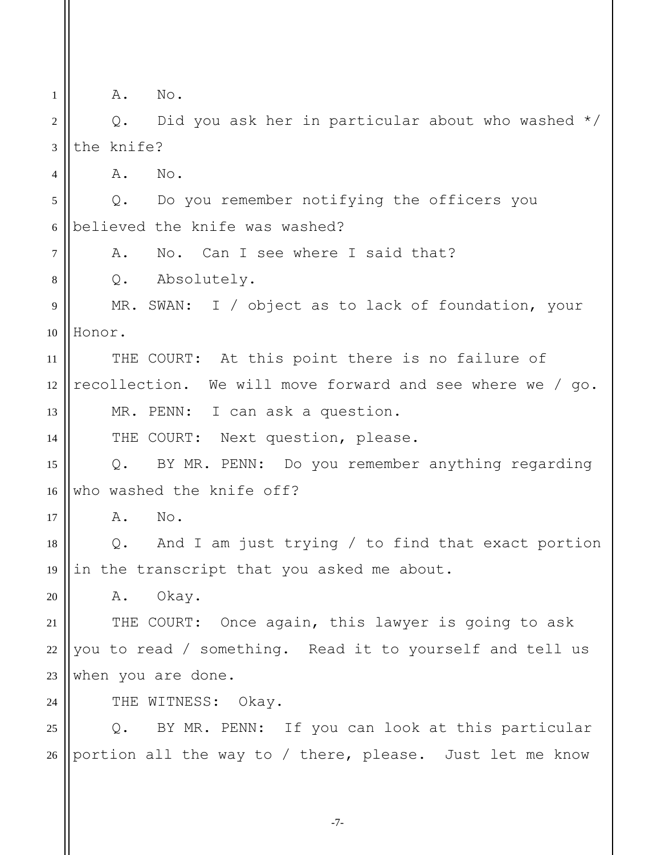1 2 3 4 5 6 7 8 9 10 11 12 13 14 15 16 17 18 19 20 21 22 23  $24$ 25 26 A. No. Q. Did you ask her in particular about who washed \*/ the knife? A. No. Q. Do you remember notifying the officers you believed the knife was washed? A. No. Can I see where I said that? Q. Absolutely. MR. SWAN: I / object as to lack of foundation, your Honor. THE COURT: At this point there is no failure of recollection. We will move forward and see where we / go. MR. PENN: I can ask a question. THE COURT: Next question, please. Q. BY MR. PENN: Do you remember anything regarding who washed the knife off? A. No. Q. And I am just trying / to find that exact portion in the transcript that you asked me about. A. Okay. THE COURT: Once again, this lawyer is going to ask you to read / something. Read it to yourself and tell us when you are done. THE WITNESS: Okay. Q. BY MR. PENN: If you can look at this particular portion all the way to / there, please. Just let me know

-7-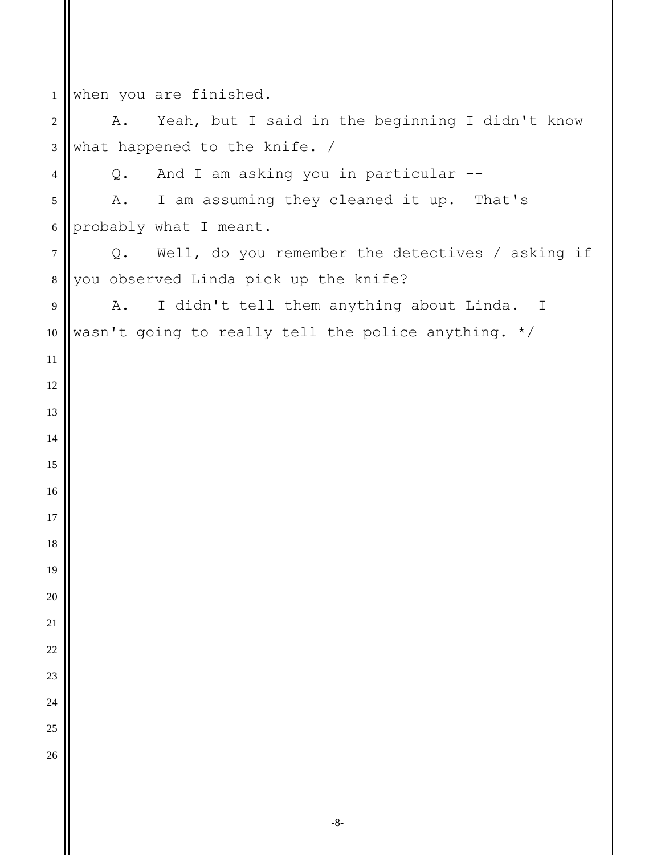when you are finished. A. Yeah, but I said in the beginning I didn't know what happened to the knife. / Q. And I am asking you in particular -- A. I am assuming they cleaned it up. That's probably what I meant. Q. Well, do you remember the detectives / asking if you observed Linda pick up the knife? A. I didn't tell them anything about Linda. I wasn't going to really tell the police anything. \*/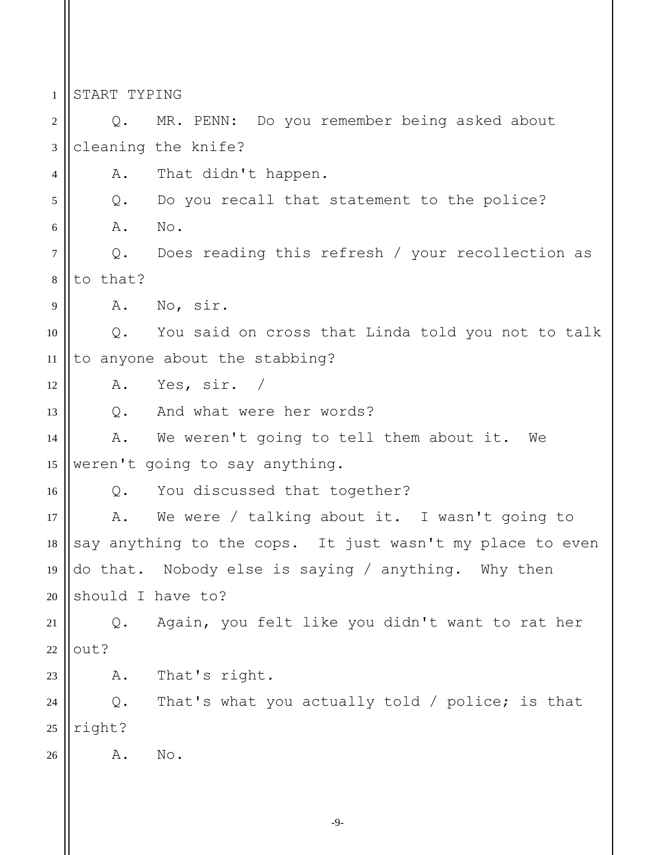1 2 3 4 5 6 7 8 9 10 11 12 13 14 15 16 17 18 19 20 21 22 23 24 25 26 START TYPING Q. MR. PENN: Do you remember being asked about cleaning the knife? A. That didn't happen. Q. Do you recall that statement to the police? A. No. Q. Does reading this refresh / your recollection as to that? A. No, sir. Q. You said on cross that Linda told you not to talk to anyone about the stabbing? A. Yes, sir. / Q. And what were her words? A. We weren't going to tell them about it. We weren't going to say anything. Q. You discussed that together? A. We were / talking about it. I wasn't going to say anything to the cops. It just wasn't my place to even do that. Nobody else is saying / anything. Why then should I have to? Q. Again, you felt like you didn't want to rat her out? A. That's right. Q. That's what you actually told / police; is that right? A. No.

-9-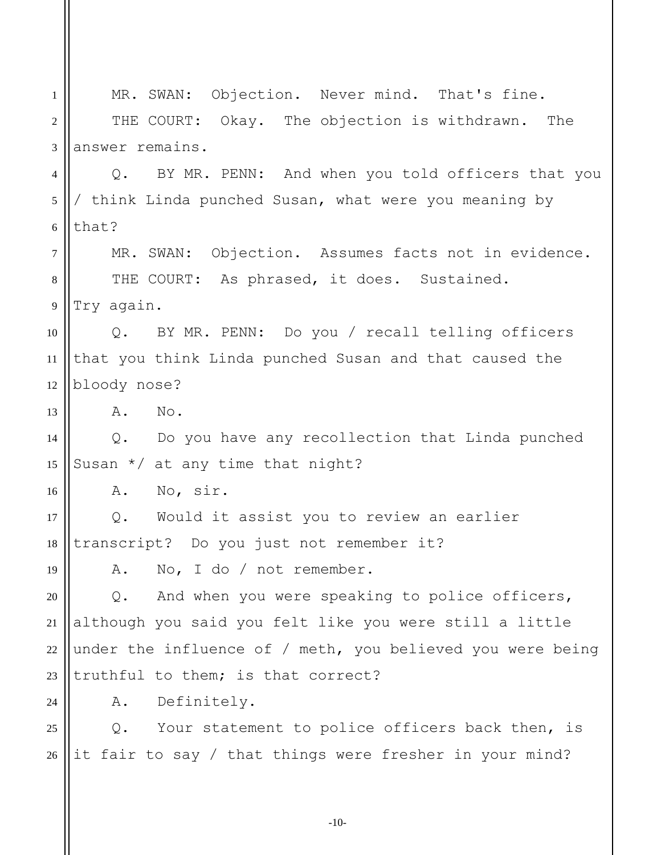1 2 3 4 5 6 7 8 9 10 11 12 13 14 15 16 17 18 19 20 21 22 23  $24$ 25 26 MR. SWAN: Objection. Never mind. That's fine. THE COURT: Okay. The objection is withdrawn. The answer remains. Q. BY MR. PENN: And when you told officers that you / think Linda punched Susan, what were you meaning by that? MR. SWAN: Objection. Assumes facts not in evidence. THE COURT: As phrased, it does. Sustained. Try again. Q. BY MR. PENN: Do you / recall telling officers that you think Linda punched Susan and that caused the bloody nose? A. No. Q. Do you have any recollection that Linda punched Susan \*/ at any time that night? A. No, sir. Q. Would it assist you to review an earlier transcript? Do you just not remember it? A. No, I do / not remember. Q. And when you were speaking to police officers, although you said you felt like you were still a little under the influence of / meth, you believed you were being truthful to them; is that correct? A. Definitely. Q. Your statement to police officers back then, is it fair to say / that things were fresher in your mind?

-10-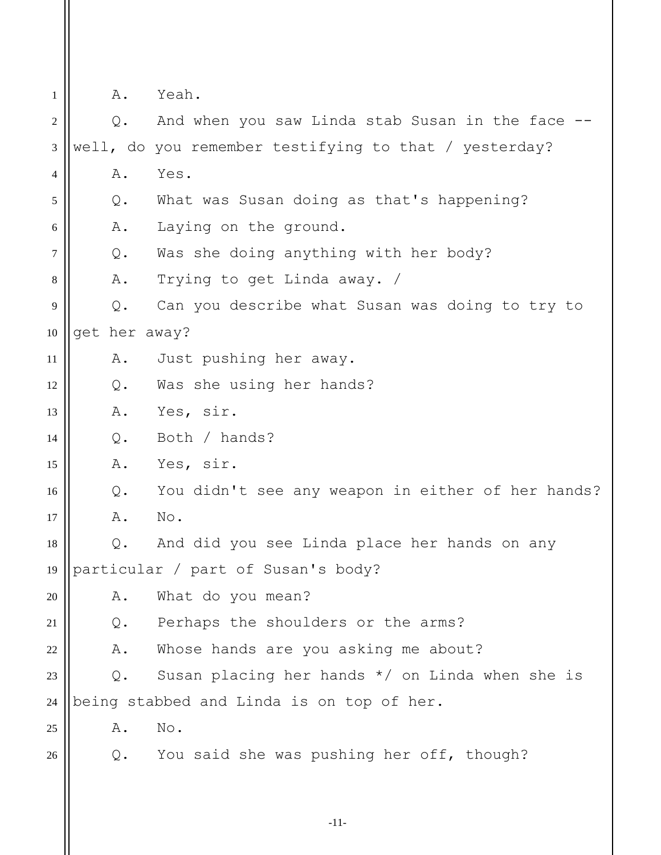| 1      | Α.             | Yeah.                                                 |
|--------|----------------|-------------------------------------------------------|
| 2      | $Q$ .          | And when you saw Linda stab Susan in the face         |
| 3      |                | well, do you remember testifying to that / yesterday? |
| 4      | Α.             | Yes.                                                  |
| 5      | $Q$ .          | What was Susan doing as that's happening?             |
| 6      | Α.             | Laying on the ground.                                 |
| $\tau$ | Q.             | Was she doing anything with her body?                 |
| $8\,$  | Α.             | Trying to get Linda away. /                           |
| 9      | $Q$ .          | Can you describe what Susan was doing to try to       |
| 10     | get her away?  |                                                       |
| 11     | Α.             | Just pushing her away.                                |
| 12     | Q.             | Was she using her hands?                              |
| 13     | Α.             | Yes, sir.                                             |
| 14     | Q.             | Both / hands?                                         |
| 15     | Α.             | Yes, sir.                                             |
| 16     | Q.             | You didn't see any weapon in either of her hands?     |
| 17     | Α.             | No.                                                   |
| 18     | Q.             | And did you see Linda place her hands on any          |
| 19     |                | particular / part of Susan's body?                    |
| 20     | Α.             | What do you mean?                                     |
| 21     | Q.             | Perhaps the shoulders or the arms?                    |
| 22     | Α.             | Whose hands are you asking me about?                  |
| 23     | $Q$ .          | Susan placing her hands $*/$ on Linda when she is     |
| $24\,$ |                | being stabbed and Linda is on top of her.             |
| 25     | Α.             | No.                                                   |
| 26     | $\mathsf{Q}$ . | You said she was pushing her off, though?             |
|        |                |                                                       |
|        |                |                                                       |
|        |                | $-11-$                                                |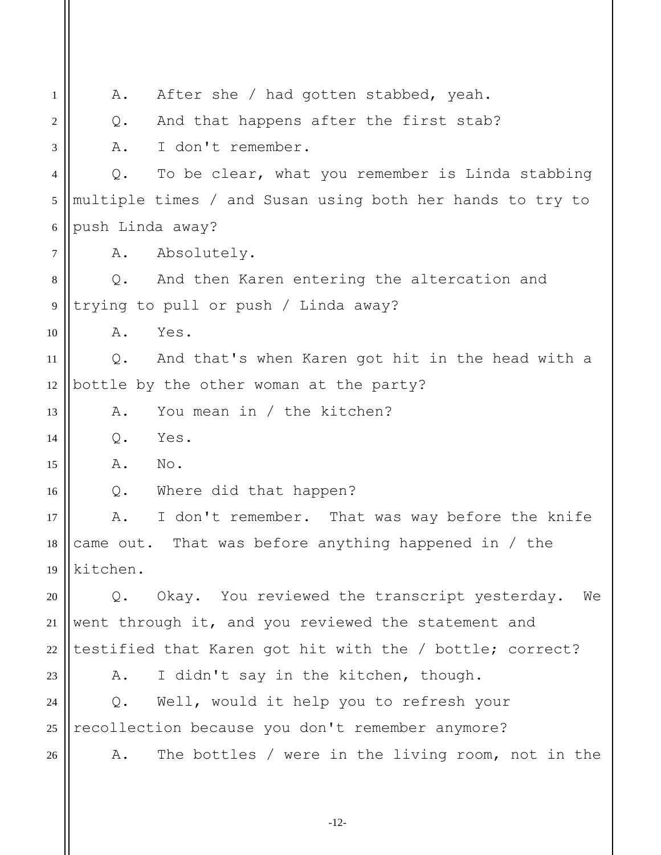1 2 3 4 5 6 7 8 9 10 11 12 13 14 15 16 17 18 19 20 21 22 23 24 25 26 A. After she / had gotten stabbed, yeah. Q. And that happens after the first stab? A. I don't remember. Q. To be clear, what you remember is Linda stabbing multiple times / and Susan using both her hands to try to push Linda away? A. Absolutely. Q. And then Karen entering the altercation and trying to pull or push / Linda away? A. Yes. Q. And that's when Karen got hit in the head with a bottle by the other woman at the party? A. You mean in / the kitchen? Q. Yes. A. No. Q. Where did that happen? A. I don't remember. That was way before the knife came out. That was before anything happened in / the kitchen. Q. Okay. You reviewed the transcript yesterday. We went through it, and you reviewed the statement and testified that Karen got hit with the / bottle; correct? A. I didn't say in the kitchen, though. Q. Well, would it help you to refresh your recollection because you don't remember anymore? A. The bottles / were in the living room, not in the

-12-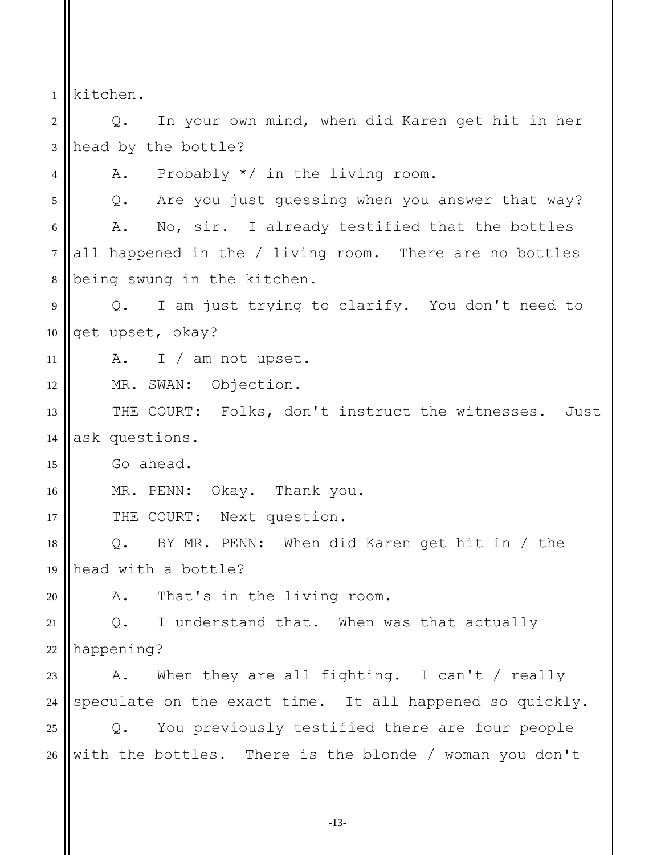1 kitchen.

4

20

2 3 Q. In your own mind, when did Karen get hit in her head by the bottle?

A. Probably \*/ in the living room.

5 6 7 8 Q. Are you just guessing when you answer that way? A. No, sir. I already testified that the bottles all happened in the / living room. There are no bottles being swung in the kitchen.

9 10 Q. I am just trying to clarify. You don't need to get upset, okay?

11 A. I / am not upset.

12 MR. SWAN: Objection.

13 14 THE COURT: Folks, don't instruct the witnesses. Just ask questions.

15 Go ahead.

16 MR. PENN: Okay. Thank you.

17 THE COURT: Next question.

18 19 Q. BY MR. PENN: When did Karen get hit in / the head with a bottle?

A. That's in the living room.

21 22 Q. I understand that. When was that actually happening?

23 24 A. When they are all fighting. I can't / really speculate on the exact time. It all happened so quickly.

25 26 Q. You previously testified there are four people with the bottles. There is the blonde / woman you don't

-13-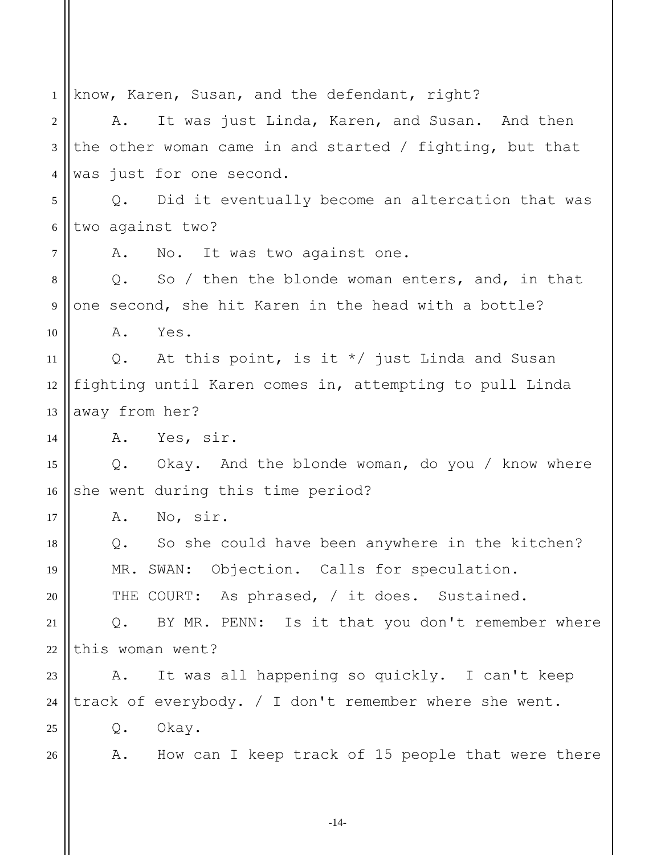1 2 3 4 5 6 7 8 9 10 11 12 13 14 15 16 17 18 19 20 21 22 23 24 25 26 know, Karen, Susan, and the defendant, right? A. It was just Linda, Karen, and Susan. And then the other woman came in and started / fighting, but that was just for one second. Q. Did it eventually become an altercation that was two against two? A. No. It was two against one. Q. So / then the blonde woman enters, and, in that one second, she hit Karen in the head with a bottle? A. Yes. Q. At this point, is it \*/ just Linda and Susan fighting until Karen comes in, attempting to pull Linda away from her? A. Yes, sir. Q. Okay. And the blonde woman, do you / know where she went during this time period? A. No, sir. Q. So she could have been anywhere in the kitchen? MR. SWAN: Objection. Calls for speculation. THE COURT: As phrased, / it does. Sustained. Q. BY MR. PENN: Is it that you don't remember where this woman went? A. It was all happening so quickly. I can't keep track of everybody. / I don't remember where she went. Q. Okay. A. How can I keep track of 15 people that were there

-14-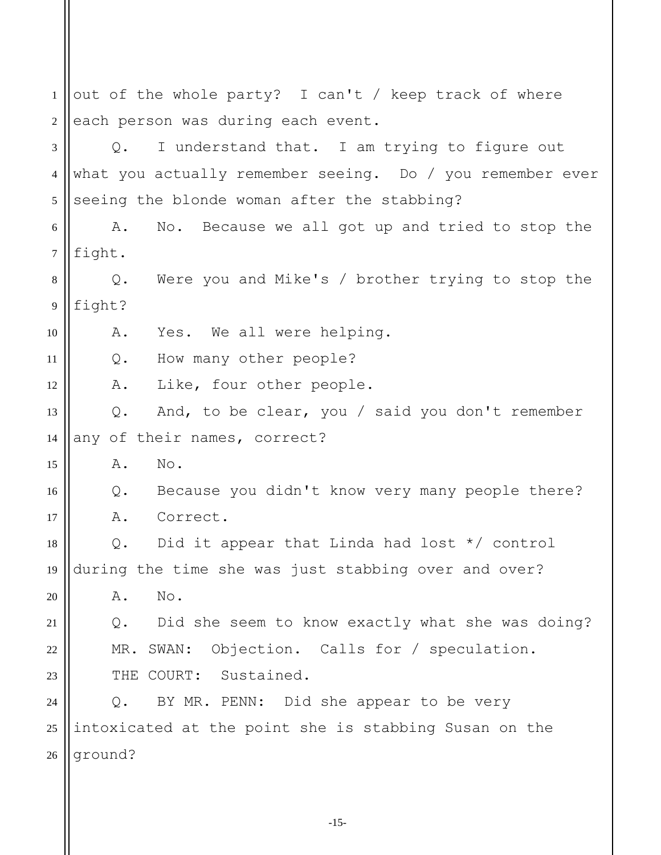1 2 3 4 5 6 7 8 9 10 11 12 13 14 15 16 17 18 19 20 21 22 23 24 25 26 out of the whole party? I can't / keep track of where each person was during each event. Q. I understand that. I am trying to figure out what you actually remember seeing. Do / you remember ever seeing the blonde woman after the stabbing? A. No. Because we all got up and tried to stop the fight. Q. Were you and Mike's / brother trying to stop the fight? A. Yes. We all were helping. Q. How many other people? A. Like, four other people. Q. And, to be clear, you / said you don't remember any of their names, correct? A. No. Q. Because you didn't know very many people there? A. Correct. Q. Did it appear that Linda had lost \*/ control during the time she was just stabbing over and over? A. No. Q. Did she seem to know exactly what she was doing? MR. SWAN: Objection. Calls for / speculation. THE COURT: Sustained. Q. BY MR. PENN: Did she appear to be very intoxicated at the point she is stabbing Susan on the ground?

-15-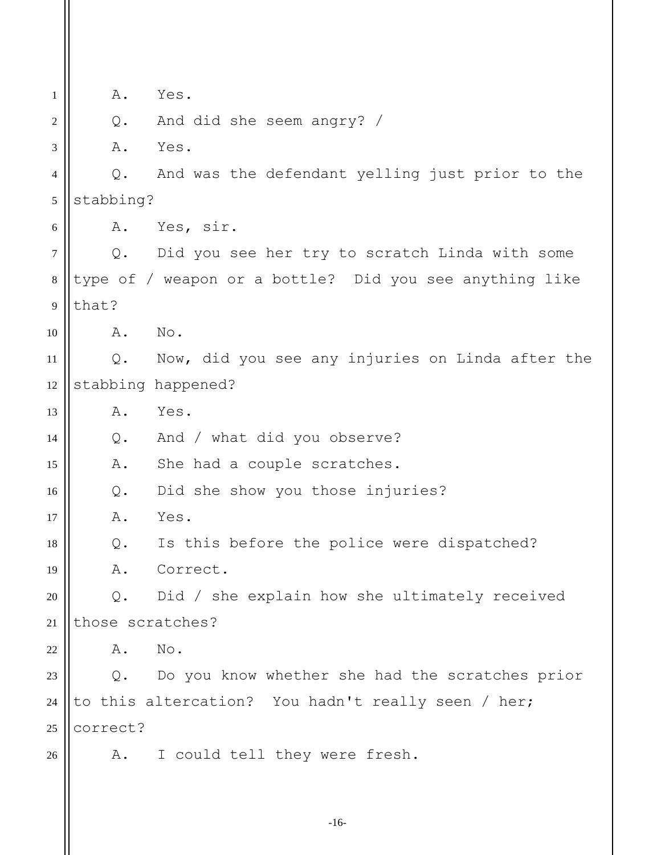| 1              | Α.               | Yes.                                                    |
|----------------|------------------|---------------------------------------------------------|
| 2              | $Q$ .            | And did she seem angry? /                               |
| 3              | Α.               | Yes.                                                    |
| $\overline{4}$ | $Q$ .            | And was the defendant yelling just prior to the         |
| 5              | stabbing?        |                                                         |
| 6              | Α.               | Yes, sir.                                               |
| $\tau$         | $Q$ .            | Did you see her try to scratch Linda with some          |
| $\,8\,$        |                  | type of / weapon or a bottle? Did you see anything like |
| $\overline{9}$ | that?            |                                                         |
| 10             | Α.               | No.                                                     |
| 11             | $Q$ .            | Now, did you see any injuries on Linda after the        |
| 12             |                  | stabbing happened?                                      |
| 13             | Α.               | Yes.                                                    |
| 14             | $Q$ .            | And / what did you observe?                             |
| 15             | Α.               | She had a couple scratches.                             |
| 16             | $Q$ .            | Did she show you those injuries?                        |
| 17             | Α.               | Yes.                                                    |
| 18             | Q.               | Is this before the police were dispatched?              |
| 19             |                  | A. Correct.                                             |
| 20             | $Q$ .            | Did / she explain how she ultimately received           |
| 21             | those scratches? |                                                         |
| 22             | Α.               | No.                                                     |
| 23             |                  | Q. Do you know whether she had the scratches prior      |
| 24             |                  | to this altercation? You hadn't really seen / her;      |
| 25             | correct?         |                                                         |
| 26             |                  | A. I could tell they were fresh.                        |
|                |                  |                                                         |
|                |                  |                                                         |

-16-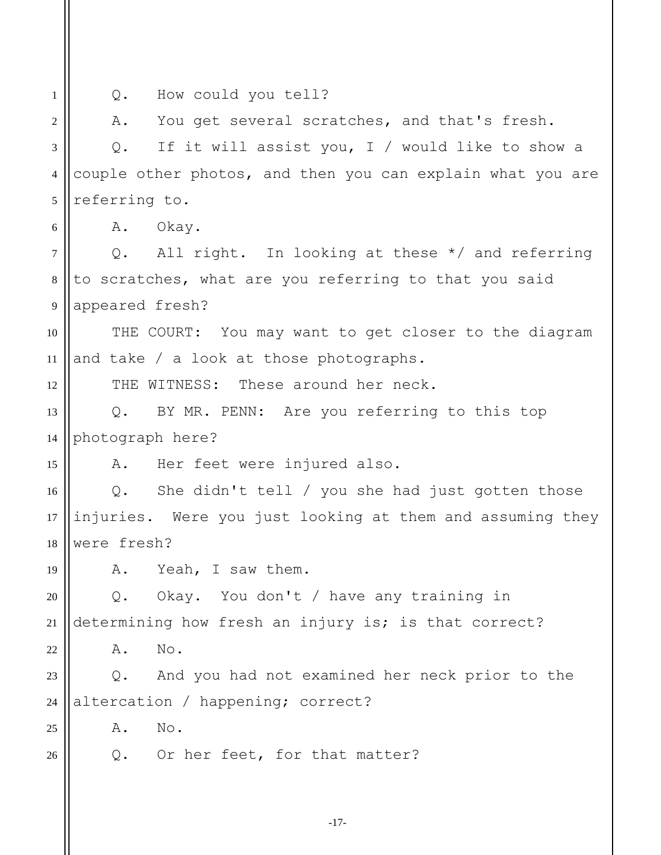1 2 3 4 5 6 7 8 9 10 11 12 13 14 15 16 17 18 19 20 21 22 23 24 25 26 Q. How could you tell? A. You get several scratches, and that's fresh. Q. If it will assist you, I / would like to show a couple other photos, and then you can explain what you are referring to. A. Okay. Q. All right. In looking at these \*/ and referring to scratches, what are you referring to that you said appeared fresh? THE COURT: You may want to get closer to the diagram and take / a look at those photographs. THE WITNESS: These around her neck. Q. BY MR. PENN: Are you referring to this top photograph here? A. Her feet were injured also. Q. She didn't tell / you she had just gotten those injuries. Were you just looking at them and assuming they were fresh? A. Yeah, I saw them. Q. Okay. You don't / have any training in determining how fresh an injury is; is that correct? A. No. Q. And you had not examined her neck prior to the altercation / happening; correct? A. No. Q. Or her feet, for that matter?

-17-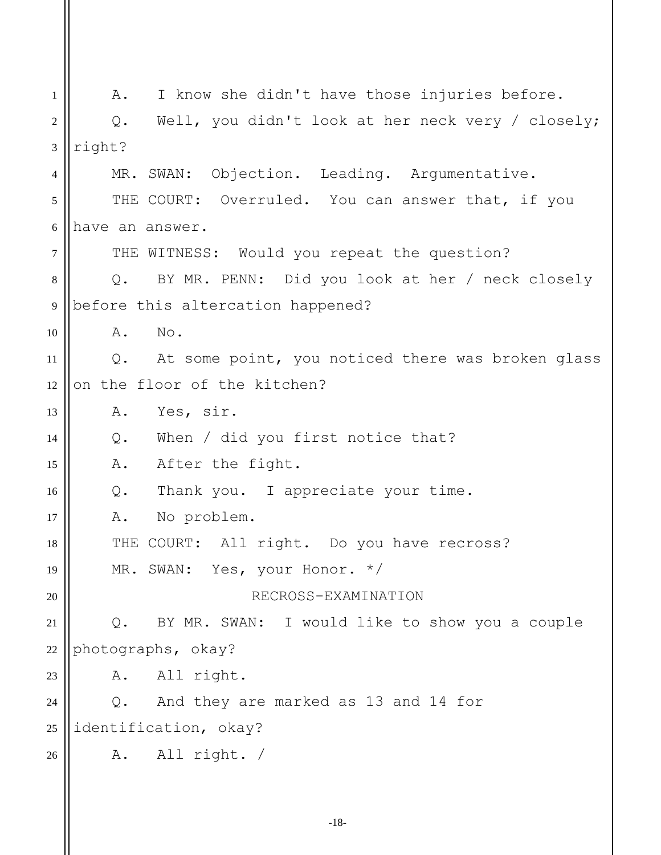1 2 3 4 5 6 7 8 9 10 11 12 13 14 15 16 17 18 19 20 21 22 23 24 25 26 A. I know she didn't have those injuries before. Q. Well, you didn't look at her neck very / closely; right? MR. SWAN: Objection. Leading. Argumentative. THE COURT: Overruled. You can answer that, if you have an answer. THE WITNESS: Would you repeat the question? Q. BY MR. PENN: Did you look at her / neck closely before this altercation happened? A. No. Q. At some point, you noticed there was broken glass on the floor of the kitchen? A. Yes, sir. Q. When / did you first notice that? A. After the fight. Q. Thank you. I appreciate your time. A. No problem. THE COURT: All right. Do you have recross? MR. SWAN: Yes, your Honor. \*/ RECROSS-EXAMINATION Q. BY MR. SWAN: I would like to show you a couple photographs, okay? A. All right. Q. And they are marked as 13 and 14 for identification, okay? A. All right. /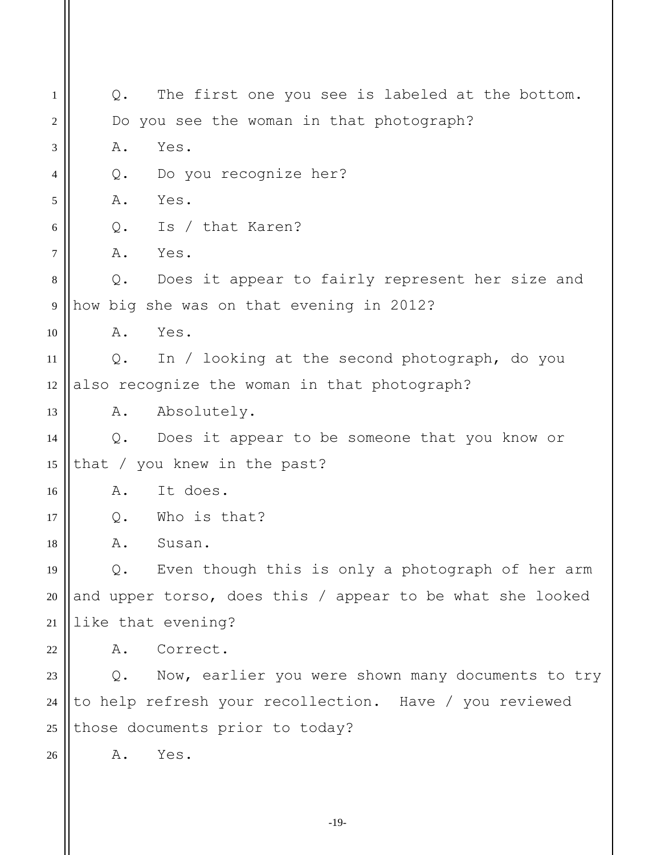1 2 3 4 5 6 7 8 9 10 11 12 13 14 15 16 17 18 19 20 21 22 23 24 25 26 Q. The first one you see is labeled at the bottom. Do you see the woman in that photograph? A. Yes. Q. Do you recognize her? A. Yes. Q. Is / that Karen? A. Yes. Q. Does it appear to fairly represent her size and how big she was on that evening in 2012? A. Yes. Q. In / looking at the second photograph, do you also recognize the woman in that photograph? A. Absolutely. Q. Does it appear to be someone that you know or that / you knew in the past? A. It does. Q. Who is that? A. Susan. Q. Even though this is only a photograph of her arm and upper torso, does this / appear to be what she looked like that evening? A. Correct. Q. Now, earlier you were shown many documents to try to help refresh your recollection. Have / you reviewed those documents prior to today? A. Yes.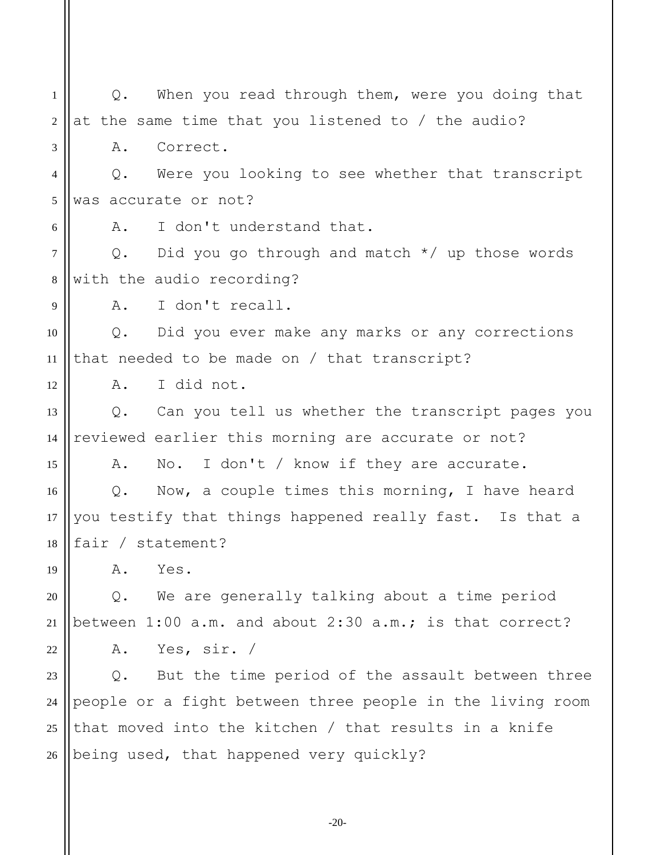1 2 3 4 5 6 7 8 9 10 11 12 13 14 15 16 17 18 19 20 21 22 23 24 25 26 Q. When you read through them, were you doing that at the same time that you listened to / the audio? A. Correct. Q. Were you looking to see whether that transcript was accurate or not? A. I don't understand that. Q. Did you go through and match \*/ up those words with the audio recording? A. I don't recall. Q. Did you ever make any marks or any corrections that needed to be made on / that transcript? A. I did not. Q. Can you tell us whether the transcript pages you reviewed earlier this morning are accurate or not? A. No. I don't / know if they are accurate. Q. Now, a couple times this morning, I have heard you testify that things happened really fast. Is that a fair / statement? A. Yes. Q. We are generally talking about a time period between 1:00 a.m. and about 2:30 a.m.; is that correct? A. Yes, sir. / Q. But the time period of the assault between three people or a fight between three people in the living room that moved into the kitchen / that results in a knife being used, that happened very quickly?

-20-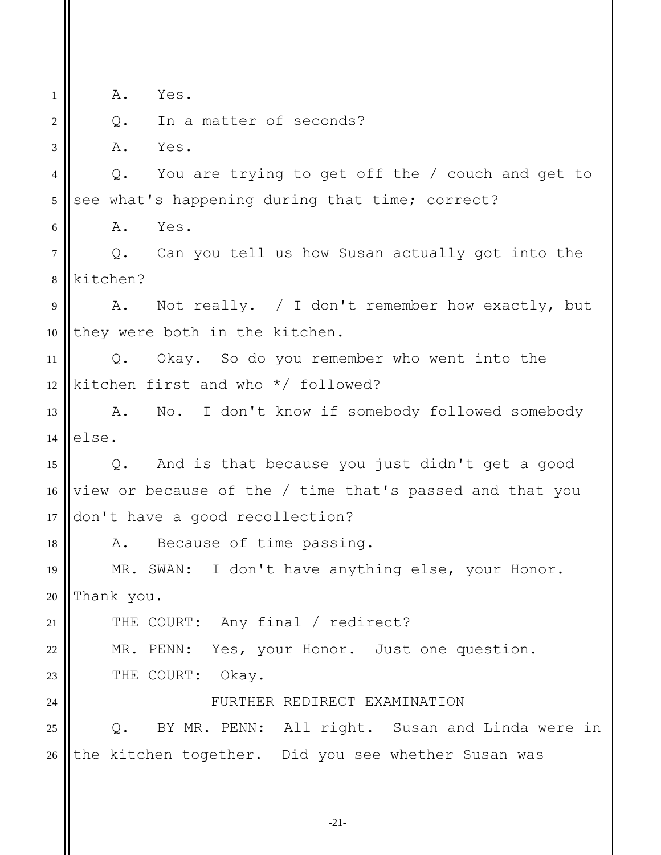1 2 3 4 5 6 7 8 9 10 11 12 13 14 15 16 17 18 19 20 21 22 23  $24$ 25 26 A. Yes. Q. In a matter of seconds? A. Yes. Q. You are trying to get off the / couch and get to see what's happening during that time; correct? A. Yes. Q. Can you tell us how Susan actually got into the kitchen? A. Not really. / I don't remember how exactly, but they were both in the kitchen. Q. Okay. So do you remember who went into the kitchen first and who \*/ followed? A. No. I don't know if somebody followed somebody else. Q. And is that because you just didn't get a good view or because of the / time that's passed and that you don't have a good recollection? A. Because of time passing. MR. SWAN: I don't have anything else, your Honor. Thank you. THE COURT: Any final / redirect? MR. PENN: Yes, your Honor. Just one question. THE COURT: Okay. FURTHER REDIRECT EXAMINATION Q. BY MR. PENN: All right. Susan and Linda were in the kitchen together. Did you see whether Susan was

-21-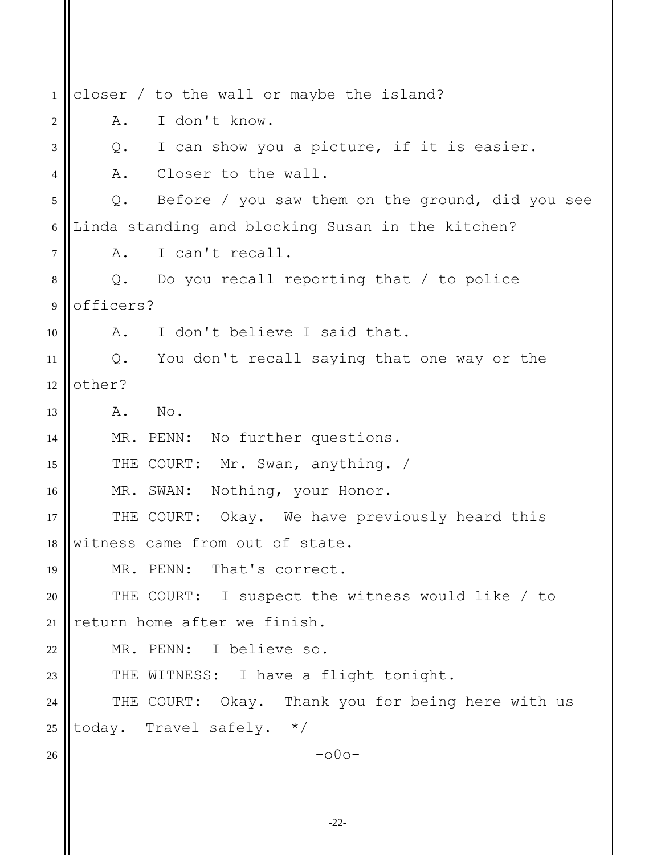| 1              | closer / to the wall or maybe the island?                 |
|----------------|-----------------------------------------------------------|
| $\overline{c}$ | I don't know.<br>Α.                                       |
| 3              | I can show you a picture, if it is easier.<br>Q.          |
| 4              | Closer to the wall.<br>Α.                                 |
| 5              | Before / you saw them on the ground, did you see<br>$Q$ . |
| 6              | Linda standing and blocking Susan in the kitchen?         |
| $\tau$         | I can't recall.<br>Α.                                     |
| $\,8\,$        | Do you recall reporting that $/$ to police<br>Q.          |
| $\overline{9}$ | officers?                                                 |
| 10             | I don't believe I said that.<br>A.                        |
| 11             | Q. You don't recall saying that one way or the            |
| 12             | other?                                                    |
| 13             | No.<br>Α.                                                 |
| 14             | MR. PENN: No further questions.                           |
| 15             | Mr. Swan, anything. /<br>THE COURT:                       |
| 16             | MR. SWAN: Nothing, your Honor.                            |
| 17             | THE COURT: Okay. We have previously heard this            |
| 18             | witness came from out of state.                           |
| 19             | MR. PENN: That's correct.                                 |
| 20             | THE COURT: I suspect the witness would like / to          |
| 21             | return home after we finish.                              |
| 22             | MR. PENN: I believe so.                                   |
| 23             | THE WITNESS: I have a flight tonight.                     |
| 24             | THE COURT: Okay. Thank you for being here with us         |
| 25             | today. Travel safely. */                                  |
| 26             | $-000-$                                                   |
|                |                                                           |
|                |                                                           |

-22-